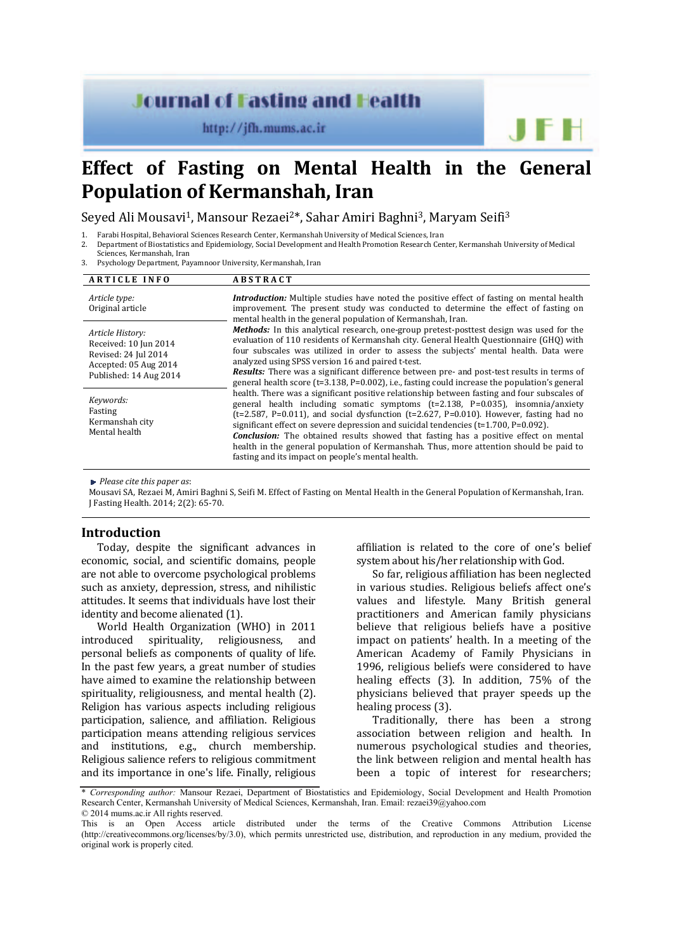# **Journal of Fasting and Health**

http://jfh.mums.ac.ir

# **Effect of Fasting on Mental Health in the General Population of Kermanshah, Iran**

Seyed Ali Mousayi<sup>1</sup>, Mansour Rezaei<sup>2\*</sup>, Sahar Amiri Baghni<sup>3</sup>, Maryam Seifi<sup>3</sup>

- 1. Farabi Hospital, Behavioral Sciences Research Center, Kermanshah University of Medical Sciences, Iran<br>2. Department of Biostatistics and Enidemiology Social Development and Health Promotion Research Cen
- Department of Biostatistics and Epidemiology, Social Development and Health Promotion Research Center, Kermanshah University of Medical Sciences, Kermanshah, Iran
- 3. Psychology Department, Payamnoor University, Kermanshah, Iran

| <b>ARTICLE INFO</b>                                                                                                  | <b>ABSTRACT</b>                                                                                                                                                                                                                                                                                                                                                                                                                                                                                                                                                                                                         |
|----------------------------------------------------------------------------------------------------------------------|-------------------------------------------------------------------------------------------------------------------------------------------------------------------------------------------------------------------------------------------------------------------------------------------------------------------------------------------------------------------------------------------------------------------------------------------------------------------------------------------------------------------------------------------------------------------------------------------------------------------------|
| Article type:<br>Original article                                                                                    | <b>Introduction:</b> Multiple studies have noted the positive effect of fasting on mental health<br>improvement. The present study was conducted to determine the effect of fasting on<br>mental health in the general population of Kermanshah, Iran.                                                                                                                                                                                                                                                                                                                                                                  |
| Article History:<br>Received: 10 Jun 2014<br>Revised: 24 Jul 2014<br>Accepted: 05 Aug 2014<br>Published: 14 Aug 2014 | <b>Methods:</b> In this analytical research, one-group pretest-posttest design was used for the<br>evaluation of 110 residents of Kermanshah city. General Health Questionnaire (GHQ) with<br>four subscales was utilized in order to assess the subjects' mental health. Data were<br>analyzed using SPSS version 16 and paired t-test.<br><b>Results:</b> There was a significant difference between pre- and post-test results in terms of<br>general health score $(t=3.138, P=0.002)$ , i.e., fasting could increase the population's general                                                                      |
| Keywords:<br>Fasting<br>Kermanshah city<br>Mental health                                                             | health. There was a significant positive relationship between fasting and four subscales of<br>general health including somatic symptoms (t=2.138, P=0.035), insomnia/anxiety<br>( $t=2.587$ , P=0.011), and social dysfunction ( $t=2.627$ , P=0.010). However, fasting had no<br>significant effect on severe depression and suicidal tendencies $(t=1.700, P=0.092)$ .<br><b>Conclusion:</b> The obtained results showed that fasting has a positive effect on mental<br>health in the general population of Kermanshah. Thus, more attention should be paid to<br>fasting and its impact on people's mental health. |

*Please cite this paper as*: 

Mousavi SA, Rezaei M, Amiri Baghni S, Seifi M, Effect of Fasting on Mental Health in the General Population of Kermanshah, Iran. J Fasting Health. 2014; 2(2): 65-70.

## **Introduction**

Today, despite the significant advances in economic, social, and scientific domains, people are not able to overcome psychological problems such as anxiety, depression, stress, and nihilistic attitudes. It seems that individuals have lost their identity and become alienated (1).

World Health Organization (WHO) in 2011 introduced spirituality, religiousness, and personal beliefs as components of quality of life. In the past few years, a great number of studies have aimed to examine the relationship between spirituality, religiousness, and mental health (2). Religion has various aspects including religious participation, salience, and affiliation. Religious participation means attending religious services and institutions, e.g., church membership. Religious salience refers to religious commitment and its importance in one's life. Finally, religious affiliation is related to the core of one's belief system about his/her relationship with God.

So far, religious affiliation has been neglected in various studies. Religious beliefs affect one's values and lifestyle. Many British general practitioners and American family physicians believe that religious beliefs have a positive impact on patients' health. In a meeting of the American Academy of Family Physicians in 1996, religious beliefs were considered to have healing effects (3). In addition, 75% of the physicians believed that prayer speeds up the healing process (3).

Traditionally, there has been a strong association between religion and health. In numerous psychological studies and theories, the link between religion and mental health has been a topic of interest for researchers;

<sup>\*</sup> *Corresponding author:* Mansour Rezaei, Department of Biostatistics and Epidemiology, Social Development and Health Promotion Research Center, Kermanshah University of Medical Sciences, Kermanshah, Iran. Email: rezaei39@yahoo.com © 2014 mums.ac.ir All rights reserved.

This is an Open Access article distributed under the terms of the Creative Commons Attribution License (http://creativecommons.org/licenses/by/3.0), which permits unrestricted use, distribution, and reproduction in any medium, provided the original work is properly cited.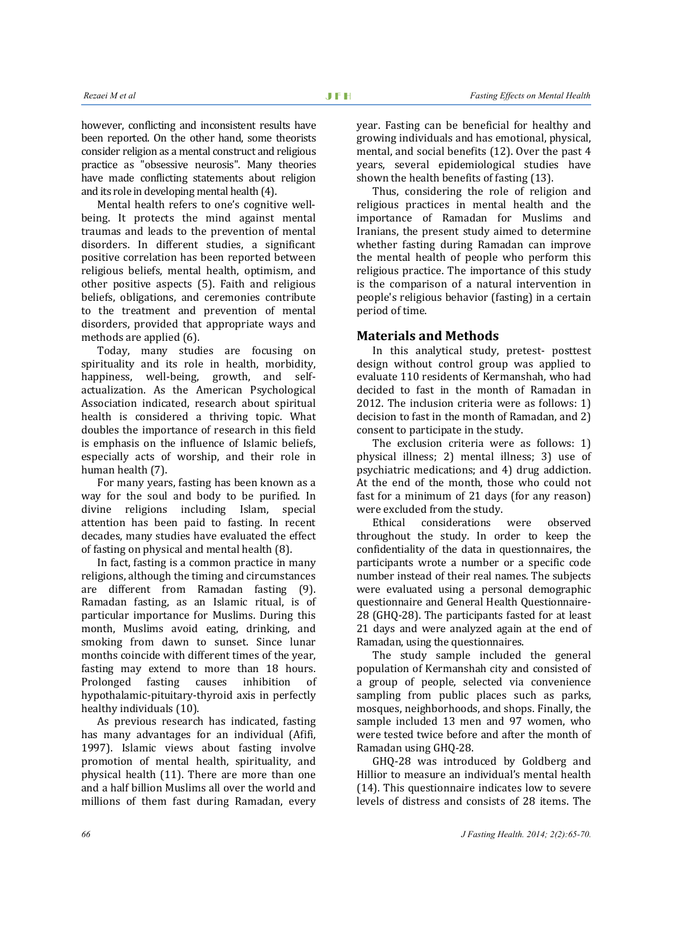however, conflicting and inconsistent results have been reported. On the other hand, some theorists consider religion as a mental construct and religious practice as "obsessive neurosis". Many theories have made conflicting statements about religion and its role in developing mental health (4).

Mental health refers to one's cognitive wellbeing. It protects the mind against mental traumas and leads to the prevention of mental disorders. In different studies, a significant positive correlation has been reported between religious beliefs, mental health, optimism, and other positive aspects  $(5)$ . Faith and religious beliefs, obligations, and ceremonies contribute to the treatment and prevention of mental disorders, provided that appropriate ways and methods are applied (6).

Today, many studies are focusing on spirituality and its role in health, morbidity, happiness, well-being, growth, and selfactualization. As the American Psychological Association indicated, research about spiritual health is considered a thriving topic. What doubles the importance of research in this field is emphasis on the influence of Islamic beliefs, especially acts of worship, and their role in human health (7).

For many years, fasting has been known as a way for the soul and body to be purified. In divine religions including Islam, special attention has been paid to fasting. In recent decades, many studies have evaluated the effect of fasting on physical and mental health (8).

In fact, fasting is a common practice in many religions, although the timing and circumstances are different from Ramadan fasting (9). Ramadan fasting, as an Islamic ritual, is of particular importance for Muslims. During this month, Muslims avoid eating, drinking, and smoking from dawn to sunset. Since lunar months coincide with different times of the vear. fasting may extend to more than 18 hours. Prolonged fasting causes inhibition of hypothalamic-pituitary-thyroid axis in perfectly healthy individuals (10).

As previous research has indicated, fasting has many advantages for an individual (Afifi, 1997). Islamic views about fasting involve promotion of mental health, spirituality, and physical health (11). There are more than one and a half billion Muslims all over the world and millions of them fast during Ramadan, every

year. Fasting can be beneficial for healthy and growing individuals and has emotional, physical, mental, and social benefits  $(12)$ . Over the past 4 years, several epidemiological studies have shown the health benefits of fasting (13).

Thus, considering the role of religion and religious practices in mental health and the importance of Ramadan for Muslims and Iranians, the present study aimed to determine whether fasting during Ramadan can improve the mental health of people who perform this religious practice. The importance of this study is the comparison of a natural intervention in people's religious behavior (fasting) in a certain period of time.

#### **Materials and Methods**

In this analytical study, pretest- posttest design without control group was applied to evaluate 110 residents of Kermanshah, who had decided to fast in the month of Ramadan in 2012. The inclusion criteria were as follows:  $1$ ) decision to fast in the month of Ramadan, and 2) consent to participate in the study.

The exclusion criteria were as follows: 1) physical illness; 2) mental illness; 3) use of psychiatric medications; and 4) drug addiction. At the end of the month, those who could not fast for a minimum of 21 days (for any reason) were excluded from the study.

Ethical considerations were observed throughout the study. In order to keep the confidentiality of the data in questionnaires, the participants wrote a number or a specific code number instead of their real names. The subjects were evaluated using a personal demographic questionnaire and General Health Ouestionnaire-28 (GHO-28). The participants fasted for at least 21 days and were analyzed again at the end of Ramadan, using the questionnaires.

The study sample included the general population of Kermanshah city and consisted of a group of people, selected via convenience sampling from public places such as parks, mosques, neighborhoods, and shops. Finally, the sample included 13 men and 97 women, who were tested twice before and after the month of Ramadan using GHQ-28.

GHQ-28 was introduced by Goldberg and Hillior to measure an individual's mental health  $(14)$ . This questionnaire indicates low to severe levels of distress and consists of 28 items. The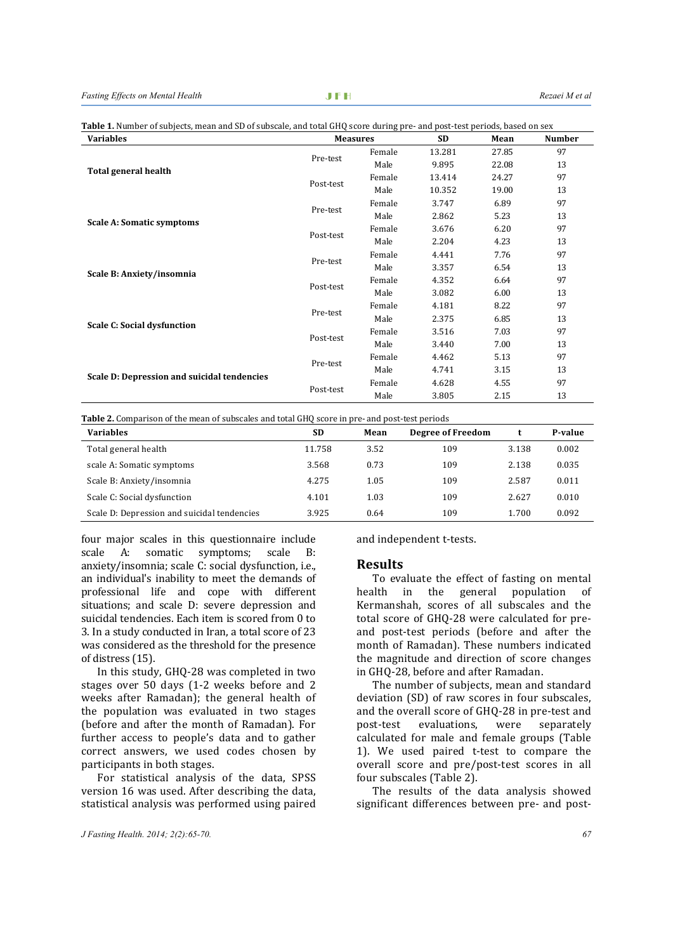| rabic xritamper orbabjects, mean and bb orbabbeare, and total driv bebre auring pre-and post-test periods, based on sen<br><b>Variables</b> |           |                                                                                                                                                                                                                                                                                                                                                                                                                                                                                               | <b>SD</b><br>Mean |       | <b>Number</b> |
|---------------------------------------------------------------------------------------------------------------------------------------------|-----------|-----------------------------------------------------------------------------------------------------------------------------------------------------------------------------------------------------------------------------------------------------------------------------------------------------------------------------------------------------------------------------------------------------------------------------------------------------------------------------------------------|-------------------|-------|---------------|
|                                                                                                                                             |           | Female                                                                                                                                                                                                                                                                                                                                                                                                                                                                                        | 13.281            | 27.85 | 97            |
|                                                                                                                                             |           | Male                                                                                                                                                                                                                                                                                                                                                                                                                                                                                          | 9.895             | 22.08 | 13            |
| <b>Total general health</b>                                                                                                                 | Post-test | Female                                                                                                                                                                                                                                                                                                                                                                                                                                                                                        | 13.414            | 24.27 | 97            |
|                                                                                                                                             |           | Male                                                                                                                                                                                                                                                                                                                                                                                                                                                                                          | 10.352            | 19.00 | 13            |
|                                                                                                                                             |           | Female                                                                                                                                                                                                                                                                                                                                                                                                                                                                                        | 3.747             | 6.89  | 97            |
|                                                                                                                                             |           | <b>Measures</b><br>Pre-test<br>Pre-test<br>Male<br>2.862<br>5.23<br>3.676<br>6.20<br>Female<br>Male<br>2.204<br>4.23<br>4.441<br>7.76<br>Female<br>Pre-test<br>Male<br>3.357<br>6.54<br>4.352<br>6.64<br>Female<br>Post-test<br>Male<br>3.082<br>6.00<br>8.22<br>4.181<br>Female<br>Pre-test<br>Male<br>2.375<br>6.85<br>7.03<br>Female<br>3.516<br>Male<br>3.440<br>7.00<br>5.13<br>Female<br>4.462<br>Pre-test<br>Male<br>4.741<br>3.15<br>Female<br>4.628<br>4.55<br>Male<br>3.805<br>2.15 | 13                |       |               |
| <b>Scale A: Somatic symptoms</b>                                                                                                            | Post-test |                                                                                                                                                                                                                                                                                                                                                                                                                                                                                               |                   |       | 97            |
|                                                                                                                                             |           |                                                                                                                                                                                                                                                                                                                                                                                                                                                                                               |                   |       | 13            |
|                                                                                                                                             |           |                                                                                                                                                                                                                                                                                                                                                                                                                                                                                               |                   |       | 97            |
| Scale B: Anxiety/insomnia                                                                                                                   |           |                                                                                                                                                                                                                                                                                                                                                                                                                                                                                               |                   |       | 13            |
|                                                                                                                                             |           |                                                                                                                                                                                                                                                                                                                                                                                                                                                                                               |                   |       | 97            |
|                                                                                                                                             |           |                                                                                                                                                                                                                                                                                                                                                                                                                                                                                               |                   |       | 13            |
|                                                                                                                                             |           |                                                                                                                                                                                                                                                                                                                                                                                                                                                                                               |                   |       | 97            |
| <b>Scale C: Social dysfunction</b>                                                                                                          |           |                                                                                                                                                                                                                                                                                                                                                                                                                                                                                               |                   |       | 13            |
|                                                                                                                                             | Post-test |                                                                                                                                                                                                                                                                                                                                                                                                                                                                                               |                   |       | 97            |
|                                                                                                                                             |           |                                                                                                                                                                                                                                                                                                                                                                                                                                                                                               |                   |       | 13            |
|                                                                                                                                             |           |                                                                                                                                                                                                                                                                                                                                                                                                                                                                                               |                   |       | 97            |
|                                                                                                                                             |           |                                                                                                                                                                                                                                                                                                                                                                                                                                                                                               |                   |       | 13            |
| Scale D: Depression and suicidal tendencies                                                                                                 | Post-test |                                                                                                                                                                                                                                                                                                                                                                                                                                                                                               |                   |       | 97            |
|                                                                                                                                             |           |                                                                                                                                                                                                                                                                                                                                                                                                                                                                                               |                   |       | 13            |

**Table 1.** Number of subjects, mean and SD of subscale, and total GHQ score during pre- and post-test periods, based on sex

**Table 2.** Comparison of the mean of subscales and total GHQ score in pre- and post-test periods

| <b>Variables</b>                            | <b>SD</b> | Mean | <b>Degree of Freedom</b> |       | P-value |
|---------------------------------------------|-----------|------|--------------------------|-------|---------|
| Total general health                        | 11.758    | 3.52 | 109                      | 3.138 | 0.002   |
| scale A: Somatic symptoms                   | 3.568     | 0.73 | 109                      | 2.138 | 0.035   |
| Scale B: Anxiety/insomnia                   | 4.275     | 1.05 | 109                      | 2.587 | 0.011   |
| Scale C: Social dysfunction                 | 4.101     | 1.03 | 109                      | 2.627 | 0.010   |
| Scale D: Depression and suicidal tendencies | 3.925     | 0.64 | 109                      | 1.700 | 0.092   |

four major scales in this questionnaire include scale A: somatic symptoms: scale B: anxiety/insomnia; scale C: social dysfunction, i.e., an individual's inability to meet the demands of professional life and cope with different situations: and scale D: severe depression and suicidal tendencies. Each item is scored from 0 to 3. In a study conducted in Iran, a total score of 23 was considered as the threshold for the presence of distress (15).

In this study, GHQ-28 was completed in two stages over 50 days (1-2 weeks before and 2 weeks after Ramadan); the general health of the population was evaluated in two stages (before and after the month of Ramadan). For further access to people's data and to gather correct answers, we used codes chosen by participants in both stages.

For statistical analysis of the data, SPSS version 16 was used. After describing the data, statistical analysis was performed using paired

and independent t-tests.

#### **Results**

To evaluate the effect of fasting on mental health in the general population of Kermanshah, scores of all subscales and the total score of GHO-28 were calculated for preand post-test periods (before and after the month of Ramadan). These numbers indicated the magnitude and direction of score changes in GHQ-28, before and after Ramadan.

The number of subjects, mean and standard deviation (SD) of raw scores in four subscales, and the overall score of GHQ-28 in pre-test and post-test evaluations, were separately calculated for male and female groups (Table 1). We used paired t-test to compare the overall score and pre/post-test scores in all four subscales (Table 2).

The results of the data analysis showed significant differences between pre- and post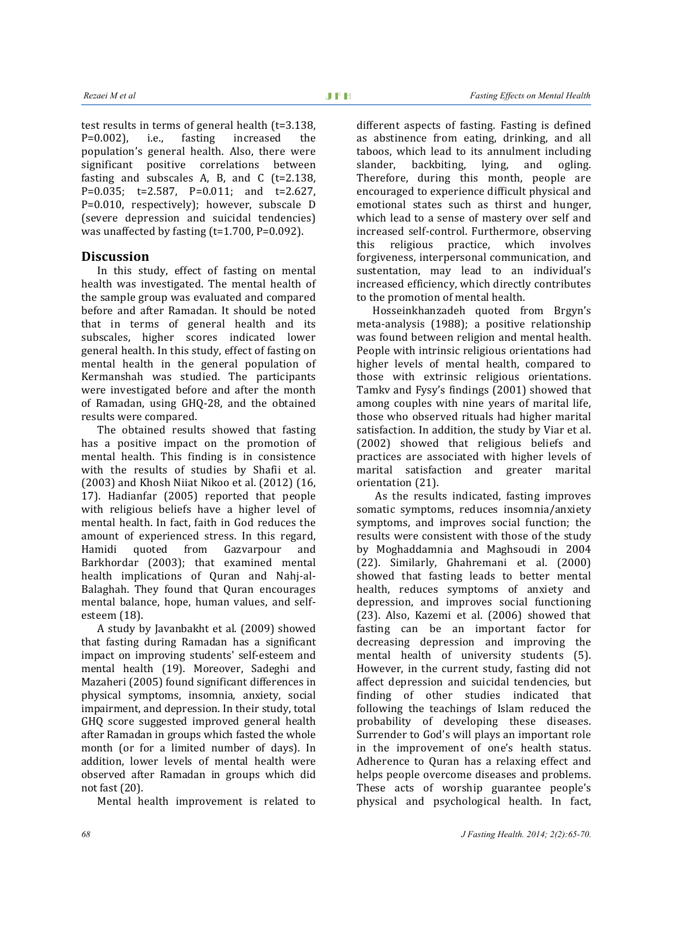test results in terms of general health  $(t=3.138)$ ,  $P=0.002$ ), i.e., fasting increased the population's general health. Also, there were significant positive correlations between fasting and subscales A, B, and C  $(t=2.138,$ P=0.035; t=2.587, P=0.011; and t=2.627, P=0.010, respectively); however, subscale D (severe depression and suicidal tendencies) was unaffected by fasting  $(t=1.700, P=0.092)$ .

## **Discussion**

In this study, effect of fasting on mental health was investigated. The mental health of the sample group was evaluated and compared before and after Ramadan. It should be noted that in terms of general health and its subscales, higher scores indicated lower general health. In this study, effect of fasting on mental health in the general population of Kermanshah was studied. The participants were investigated before and after the month of Ramadan, using GHO-28, and the obtained results were compared.

The obtained results showed that fasting has a positive impact on the promotion of mental health. This finding is in consistence with the results of studies by Shafii et al.  $(2003)$  and Khosh Niiat Nikoo et al.  $(2012)$   $(16, 16)$ 17). Hadianfar (2005) reported that people with religious beliefs have a higher level of mental health. In fact, faith in God reduces the amount of experienced stress. In this regard, Hamidi quoted from Gazvarpour and Barkhordar (2003); that examined mental health implications of Quran and Nahj-al-Balaghah. They found that Ouran encourages mental balance, hope, human values, and selfesteem (18).

A study by Javanbakht et al. (2009) showed that fasting during Ramadan has a significant impact on improving students' self-esteem and mental health (19). Moreover, Sadeghi and Mazaheri (2005) found significant differences in physical symptoms, insomnia, anxiety, social impairment, and depression. In their study, total GHQ score suggested improved general health after Ramadan in groups which fasted the whole month (or for a limited number of days). In addition, lower levels of mental health were observed after Ramadan in groups which did not fast (20).

Mental health improvement is related to

different aspects of fasting. Fasting is defined as abstinence from eating, drinking, and all taboos, which lead to its annulment including slander, backbiting, lying, and ogling. Therefore, during this month, people are encouraged to experience difficult physical and emotional states such as thirst and hunger, which lead to a sense of mastery over self and increased self-control. Furthermore, observing this religious practice, which involves forgiveness, interpersonal communication, and sustentation, may lead to an individual's increased efficiency, which directly contributes to the promotion of mental health.

Hosseinkhanzadeh quoted from Brgyn's meta-analysis (1988); a positive relationship was found between religion and mental health. People with intrinsic religious orientations had higher levels of mental health, compared to those with extrinsic religious orientations. Tamky and Fysy's findings (2001) showed that among couples with nine years of marital life. those who observed rituals had higher marital satisfaction. In addition, the study by Viar et al. (2002) showed that religious beliefs and practices are associated with higher levels of marital satisfaction and greater marital orientation (21).

As the results indicated, fasting improves somatic symptoms, reduces insomnia/anxiety symptoms, and improves social function; the results were consistent with those of the study by Moghaddamnia and Maghsoudi in 2004 (22). Similarly, Ghahremani et al. (2000) showed that fasting leads to better mental health, reduces symptoms of anxiety and depression, and improves social functioning (23). Also, Kazemi et al. (2006) showed that fasting can be an important factor for decreasing depression and improving the mental health of university students (5). However, in the current study, fasting did not affect depression and suicidal tendencies, but finding of other studies indicated that following the teachings of Islam reduced the probability of developing these diseases. Surrender to God's will plays an important role in the improvement of one's health status. Adherence to Quran has a relaxing effect and helps people overcome diseases and problems. These acts of worship guarantee people's physical and psychological health. In fact,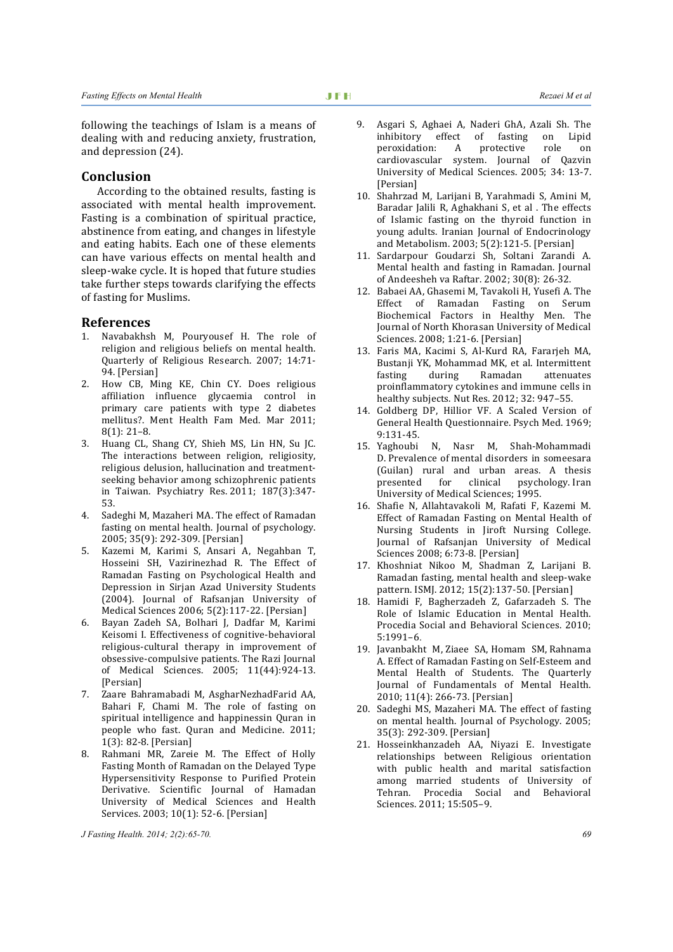following the teachings of Islam is a means of dealing with and reducing anxiety, frustration, and depression (24).

#### **Conclusion**

According to the obtained results, fasting is associated with mental health improvement. Fasting is a combination of spiritual practice, abstinence from eating, and changes in lifestyle and eating habits. Each one of these elements can have various effects on mental health and sleep-wake cycle. It is hoped that future studies take further steps towards clarifying the effects of fasting for Muslims.

#### **References**

- 1. Navabakhsh M, Pouryousef H. The role of religion and religious beliefs on mental health. Quarterly of Religious Research. 2007; 14:71-94. [Persian]
- 2. How CB, Ming KE, Chin CY. Does religious affiliation influence glycaemia control in primary care patients with type 2 diabetes mellitus?. Ment Health Fam Med. Mar 2011:  $8(1): 21-8.$
- 3. Huang CL, Shang CY, Shieh MS, Lin HN, Su JC. The interactions between religion, religiosity, religious delusion, hallucination and treatmentseeking behavior among schizophrenic patients in Taiwan. Psychiatry Res. 2011; 187(3):347-53.
- 4. Sadeghi M, Mazaheri MA. The effect of Ramadan fasting on mental health. Journal of psychology. 2005; 35(9): 292-309. [Persian]
- 5. Kazemi M, Karimi S, Ansari A, Negahban T, Hosseini SH, Vazirinezhad R. The Effect of Ramadan Fasting on Psychological Health and Depression in Sirjan Azad University Students (2004). Journal of Rafsanjan University of Medical Sciences 2006; 5(2):117-22. [Persian]
- 6. Bayan Zadeh SA, Bolhari J, Dadfar M, Karimi Keisomi I. Effectiveness of cognitive-behavioral religious-cultural therapy in improvement of obsessive-compulsive patients. The Razi Journal of Medical Sciences. 2005; 11(44):924-13. [Persian]
- 7. Zaare Bahramabadi M, AsgharNezhadFarid AA, Bahari F, Chami M. The role of fasting on spiritual intelligence and happinessin Quran in people who fast. Ouran and Medicine. 2011: 1(3): 82‐8. [Persian]
- 8. Rahmani MR, Zareie M. The Effect of Holly Fasting Month of Ramadan on the Delayed Type Hypersensitivity Response to Purified Protein Derivative. Scientific Journal of Hamadan University of Medical Sciences and Health Services. 2003; 10(1): 52-6. [Persian]

*J Fasting Health. 2014; 2(2):65-70. 69* 

- 9. Asgari S, Aghaei A, Naderi GhA, Azali Sh. The inhibitory effect of fasting on Lipid peroxidation: A protective role on cardiovascular system. Journal of Qazvin University of Medical Sciences. 2005; 34: 13-7. [Persian]
- 10. Shahrzad M, Larijani B, Yarahmadi S, Amini M, Baradar Jalili R, Aghakhani S, et al . The effects of Islamic fasting on the thyroid function in young adults. Iranian Journal of Endocrinology and Metabolism. 2003; 5(2):121-5. [Persian]
- 11. Sardarpour Goudarzi Sh, Soltani Zarandi A. Mental health and fasting in Ramadan. Journal of Andeesheh va Raftar. 2002; 30(8): 26-32.
- 12. Babaei AA, Ghasemi M, Tavakoli H, Yusefi A. The Effect of Ramadan Fasting on Serum Biochemical Factors in Healthy Men. The Journal of North Khorasan University of Medical Sciences. 2008; 1:21-6. [Persian]
- 13. Faris MA, Kacimi S, Al-Kurd RA, Fararjeh MA, Bustanji YK, Mohammad MK, et al. Intermittent fasting during Ramadan attenuates proinflammatory cytokines and immune cells in healthy subjects. Nut Res. 2012; 32: 947-55.
- 14. Goldberg DP, Hillior VF. A Scaled Version of General Health Questionnaire. Psych Med. 1969; 9:131‐45.
- 15. Yaghoubi N, Nasr M, Shah-Mohammadi D. Prevalence of mental disorders in someesara (Guilan) rural and urban areas. A thesis presented for clinical psychology. Iran University of Medical Sciences; 1995.
- 16. Shafie N, Allahtavakoli M, Rafati F, Kazemi M. Effect of Ramadan Fasting on Mental Health of Nursing Students in Jiroft Nursing College. Journal of Rafsanjan University of Medical Sciences 2008; 6:73-8. [Persian]
- 17. Khoshniat Nikoo M, Shadman Z, Larijani B. Ramadan fasting, mental health and sleep-wake pattern. ISMJ. 2012; 15(2):137-50. [Persian]
- 18. Hamidi F, Bagherzadeh Z, Gafarzadeh S. The Role of Islamic Education in Mental Health. Procedia Social and Behavioral Sciences. 2010; 5:1991–6.
- 19. Javanbakht M, Ziaee SA, Homam SM, Rahnama A. Effect of Ramadan Fasting on Self-Esteem and Mental Health of Students. The Quarterly Journal of Fundamentals of Mental Health. 2010; 11(4): 266-73. [Persian]
- 20. Sadeghi MS, Mazaheri MA. The effect of fasting on mental health. Journal of Psychology. 2005; 35(3): 292-309. [Persian]
- 21. Hosseinkhanzadeh AA, Niyazi E. Investigate relationships between Religious orientation with public health and marital satisfaction among married students of University of Tehran. Procedia Social and Behavioral Sciences. 2011; 15:505-9.